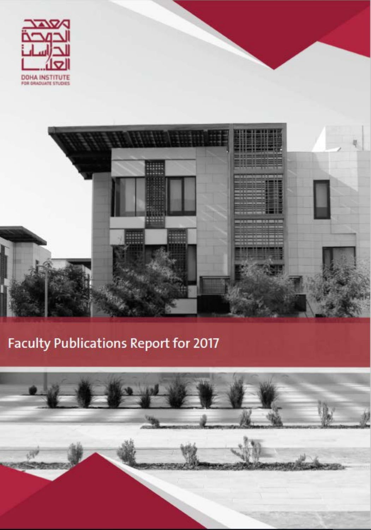



## **Faculty Publications Report for 2017**

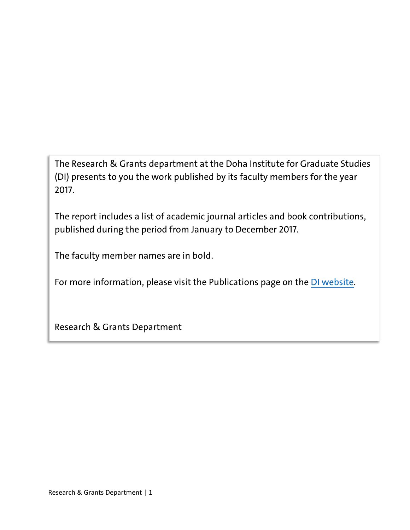The Research & Grants department at the Doha Institute for Graduate Studies (DI) presents to you the work published by its faculty members for the year 2017.

The report includes a list of academic journal articles and book contributions, published during the period from January to December 2017.

The faculty member names are in bold.

For more information, please visit the Publications page on the [DI website.](https://www.dohainstitute.edu.qa/EN/Research/FR/Pages/Publications.aspx)

Research & Grants Department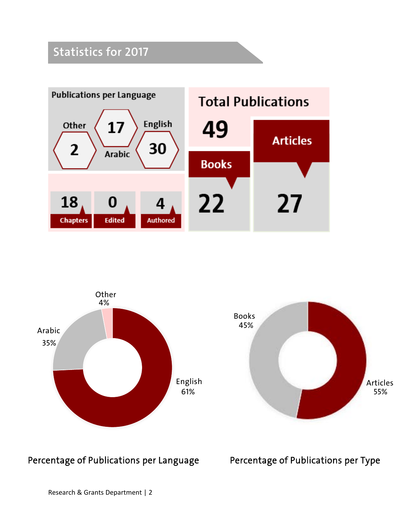## **Statistics for 2017**





Percentage of Publications per Language Percentage of Publications per Type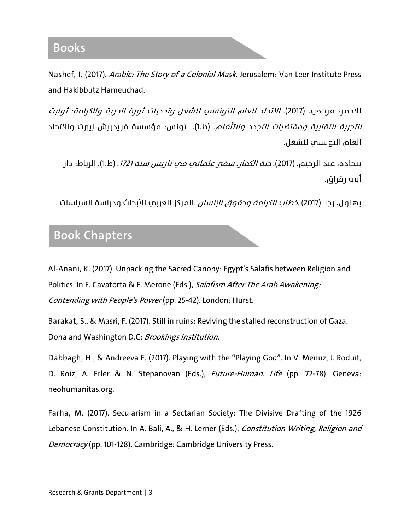Nashef, I. (2017). Arabic: The Story of a Colonial Mask. Jerusalem: Van Leer Institute Press and Hakibbutz Hameuchad.

الأحمر، مولدي. (2017). *الاتحاد العام التونسي للشغل وتحديات ثورة الحرية والكرامة: ثوابت* ا*لتجربة النقابية ومقتضيات التجدد والتأقلم*. (ط.1). تونس: مؤسسة فريدريش إي<del>ر</del>ت والاتحاد العام التونسي للشغل .

بنحادة، عبد الرحيم. (2017). *جنة الكفار، سفي عثماني في باريس سنة 1721*. (ط.1). الرباط: دار أبي رقراق.

. بهلول، رجا .(2017) .*خطاب الكرامة وحقوق الإنسان* .المركز العربي للأبحاث ودراسة السياسات .

## **Book Chapters**

Al-Anani, K. (2017). Unpacking the Sacred Canopy: Egypt's Salafis between Religion and Politics. In F. Cavatorta & F. Merone (Eds.), Salafism After The Arab Awakening: Contending with People's Power (pp. 25-42). London: Hurst.

Barakat, S., & Masri, F. (2017). Still in ruins: Reviving the stalled reconstruction of Gaza. Doha and Washington D.C: Brookings Institution.

Dabbagh, H., & Andreeva E. (2017). Playing with the "Playing God". In V. Menuz, J. Roduit, D. Roiz, A. Erler & N. Stepanovan (Eds.), Future-Human. Life (pp. 72-78). Geneva: neohumanitas.org.

Farha, M. (2017). Secularism in a Sectarian Society: The Divisive Drafting of the 1926 Lebanese Constitution. In A. Bali, A., & H. Lerner (Eds.), Constitution Writing, Religion and Democracy (pp. 101-128). Cambridge: Cambridge University Press.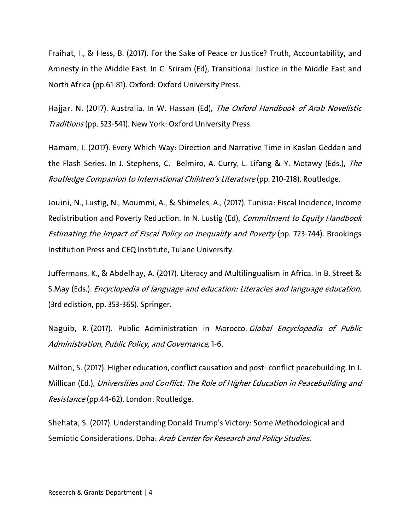Fraihat, I., & Hess, B. (2017). For the Sake of Peace or Justice? Truth, Accountability, and Amnesty in the Middle East. In C. Sriram (Ed), Transitional Justice in the Middle East and North Africa (pp.61-81). Oxford: Oxford University Press.

Hajjar, N. (2017). Australia. In W. Hassan (Ed), The Oxford Handbook of Arab Novelistic Traditions (pp. 523-541). New York: Oxford University Press.

Hamam, I. (2017). Every Which Way: Direction and Narrative Time in Kaslan Geddan and the Flash Series. In J. Stephens, C. Belmiro, A. Curry, L. Lifang & Y. Motawy (Eds.), The Routledge Companion to International Children's Literature (pp. 210-218). Routledge.

Jouini, N., Lustig, N., Moummi, A., & Shimeles, A., (2017). Tunisia: Fiscal Incidence, Income Redistribution and Poverty Reduction. In N. Lustig (Ed), Commitment to Equity Handbook Estimating the Impact of Fiscal Policy on Inequality and Poverty (pp. 723-744). Brookings Institution Press and CEQ Institute, Tulane University.

Juffermans, K., & Abdelhay, A. (2017). Literacy and Multilingualism in Africa. In B. Street & S.May (Eds.). Encyclopedia of language and education: Literacies and language education. (3rd edistion, pp. 353-365). Springer.

Naguib, R. (2017). Public Administration in Morocco. Global Encyclopedia of Public Administration, Public Policy, and Governance, 1-6.

Milton, S. (2017). Higher education, conflict causation and post- conflict peacebuilding. In J. Millican (Ed.), Universities and Conflict: The Role of Higher Education in Peacebuilding and Resistance (pp.44-62). London: Routledge.

Shehata, S. (2017). Understanding Donald Trump's Victory: Some Methodological and Semiotic Considerations. Doha: Arab Center for Research and Policy Studies.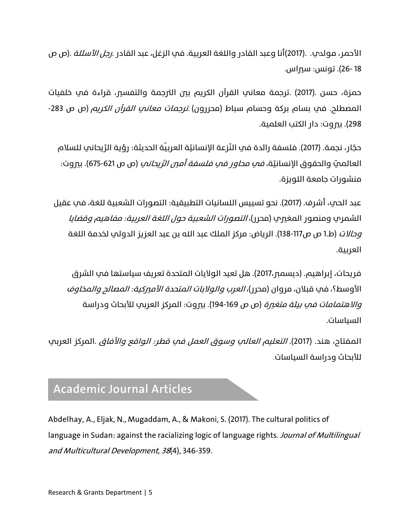الأحمر، مولدي. .(2017)أنا وعبد القادر واللغة العربية. في الزغل، عبد القادر .*رجل الأسئلة* .(ص ص 18 26-). تونس: سيراس.

حمزة، حسن .(2017) .ترجمة معاني القرآن الكر�م بين الترجمة والتفسير، قراءة في خلفيات المصطلح. في بسام بركة وحسام سباط (محررون) *ترجمات معاني القرآن الكريم* (ص ص 283-298). بيروت: دار الكتب العلمية.

حجّار، نجمة. (2017). فلسفة رائدة في النَّزعة الإنسانيّة العربيّة الحديثة: رؤية الرَّ يحاني للسلام العالميّ والحقوق الإنسانيّة، *فمِ محاور فمِ فلسفة أمين الرَّيحانم*ِ (ص ص 621-675). بيروت: منشورات جامعة اللو�زة.

عبد الحم، أشرف. (2017). نحو تسييس اللسانيات التطبيقية: التصورات الشعبية للغة، في عقيل الشمري ومنصور المغري (محرر)، *التصورات الشعبية حول اللغة العربية: مفاهيم وقضايا* و*حالات* (ط.1 ص ص117-138). الرياض: مركز الملك عبد الله بن عبد العزيز الدولي لخدمة اللغة العر�يية.

فريحات، إبراهيم. (ديسمبر،2017). هل تعيد الولايات المتحدة تعريف سياستها في الشرق الأوسط؟، في قبلان، مروان (محرر)، العرب والولايات المتحدة الأميركية: المصالح والمخاوف و*الاهتمامات في بيئة متغرة* (ص ص 169-194). بيروت: المركز العربي للأبحاث ودراسة السياسات.

المفتاح، هند. (2017). *التعليم العالب وسوق العمل في قطر: الواقع والآفاق* .المركز العربب للأبحاث ودراسة السياسات.

## **Academic Journal Articles**

Abdelhay, A., Eljak, N., Mugaddam, A., & Makoni, S. (2017). The cultural politics of language in Sudan: against the racializing logic of language rights. Journal of Multilingual and Multicultural Development, 38(4), 346-359.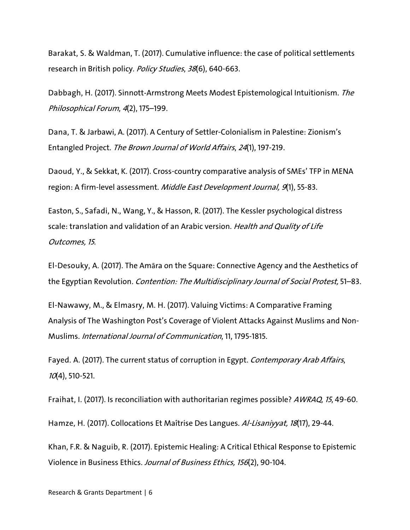Barakat, S. & Waldman, T. (2017). Cumulative influence: the case of political settlements research in British policy. Policy Studies, 38(6), 640-663.

Dabbagh, H. (2017). Sinnott-Armstrong Meets Modest Epistemological Intuitionism. The Philosophical Forum, 4(2), 175–199.

Dana, T. & Jarbawi, A. (2017). A Century of Settler-Colonialism in Palestine: Zionism's Entangled Project. The Brown Journal of World Affairs, 24(1), 197-219.

Daoud, Y., & Sekkat, K. (2017). Cross-country comparative analysis of SMEs' TFP in MENA region: A firm-level assessment. Middle East Development Journal, 9(1), 55-83.

Easton, S., Safadi, N., Wang, Y., & Hasson, R. (2017). The Kessler psychological distress scale: translation and validation of an Arabic version. Health and Quality of Life Outcomes, 15.

El-Desouky, A. (2017). The Amāra on the Square: Connective Agency and the Aesthetics of the Egyptian Revolution. Contention: The Multidisciplinary Journal of Social Protest, 51–83.

El-Nawawy, M., & Elmasry, M. H. (2017). Valuing Victims: A Comparative Framing Analysis of The Washington Post's Coverage of Violent Attacks Against Muslims and Non-Muslims. International Journal of Communication, 11, 1795-1815.

Fayed. A. (2017). The current status of corruption in Egypt. Contemporary Arab Affairs,  $10(4)$ , 510-521.

Fraihat, I. (2017). Is reconciliation with authoritarian regimes possible? AWRAQ, 15, 49-60.

Hamze, H. (2017). Collocations Et Maîtrise Des Langues. Al-Lisaniyyat, 18(17), 29-44.

Khan, F.R. & Naguib, R. (2017). Epistemic Healing: A Critical Ethical Response to Epistemic Violence in Business Ethics. Journal of Business Ethics, 156(2), 90-104.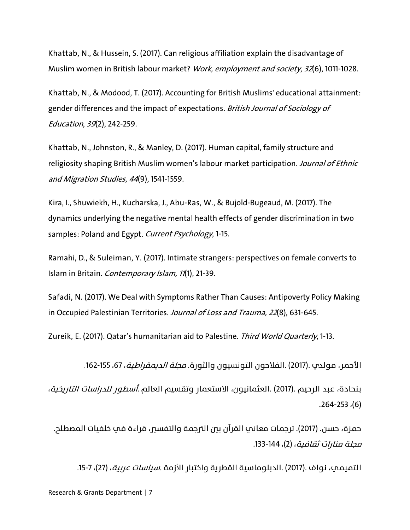Khattab, N., & Hussein, S. (2017). Can religious affiliation explain the disadvantage of Muslim women in British labour market? Work, employment and society, 32(6), 1011-1028.

Khattab, N., & Modood, T. (2017). Accounting for British Muslims' educational attainment: gender differences and the impact of expectations. British Journal of Sociology of Education, 39(2), 242-259.

Khattab, N., Johnston, R., & Manley, D. (2017). Human capital, family structure and religiosity shaping British Muslim women's labour market participation. Journal of Ethnic and Migration Studies, 44(9), 1541-1559.

Kira, I., Shuwiekh, H., Kucharska, J., Abu-Ras, W., & Bujold-Bugeaud, M. (2017). The dynamics underlying the negative mental health effects of gender discrimination in two samples: Poland and Egypt. Current Psychology, 1-15.

Ramahi, D., & Suleiman, Y. (2017). Intimate strangers: perspectives on female converts to Islam in Britain. Contemporary Islam, 11(1), 21-39.

Safadi, N. (2017). We Deal with Symptoms Rather Than Causes: Antipoverty Policy Making in Occupied Palestinian Territories. Journal of Loss and Trauma, 22(8), 631-645.

Zureik, E. (2017). Qatar's humanitarian aid to Palestine. Third World Quarterly, 1-13.

الأحمر، مولدب .(2017) .الفلاحون التونسيون والثورة. *محلة الديمقراطية*، 67، 155-162.

بنحادة، عبد الرحيم .(2017) .العثمانيون، الاستعمار وتقسيم العالم *أسطور للدراسات التاريخية*، .264-253 ،(6)

حمزة، حسن. (2017). ترجمات معاني القرآن بين الترجمة والتفسير، قراءة في خلفيات المصطلح. مجلة منارات ثقافية، (2)، 144-133.

التميمي، نواف .(2017) .الدبلوماسية القطرية واختبار الأزمة .*سياسات عربية*، (27)، 7-15.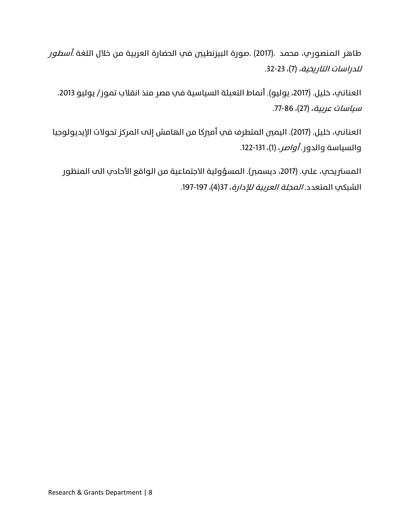طاهر المنصوري، محمد .(2017) .صورة البيزنطيين في الحضارة العربية من خلال اللغة *.أسطور للدراسات التاريخية، (*7)، 23-32.

العناني، خليل. (،2017 يوليو). أنماط التعبئة السياسية في مصر منذ انقلاب تموز/ يوليو .2013 سياسات عربية، (27)، 86-77.

العناني، خليل. (2017). اليمين المتطرف في أميركا من الهامش إلى المركز تحولات الإيديولوجيا والسياسة والدور. *أواصر*، (1)، 131-122.

المستريحي، علي. (2017، ديسمبر). المسؤولية الاجتماعية من الواقع الأحادي الم المنظور الشبكي المتعدد. *المجلة العربية للإدارة*، 37(4)، 197-197.